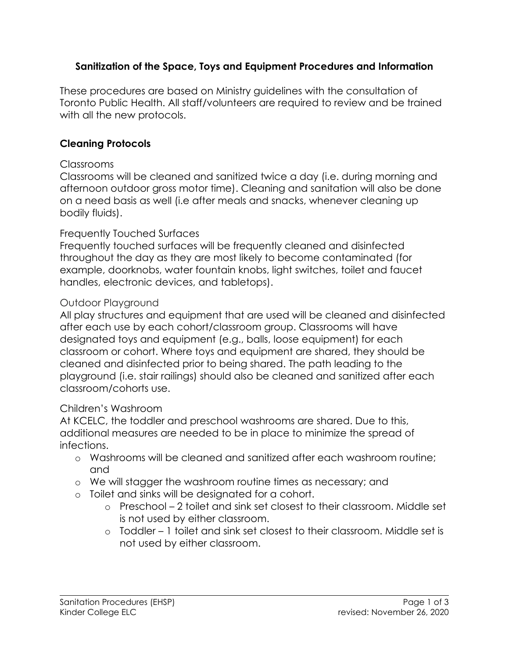## **Sanitization of the Space, Toys and Equipment Procedures and Information**

These procedures are based on Ministry guidelines with the consultation of Toronto Public Health. All staff/volunteers are required to review and be trained with all the new protocols.

## **Cleaning Protocols**

#### **Classrooms**

Classrooms will be cleaned and sanitized twice a day (i.e. during morning and afternoon outdoor gross motor time). Cleaning and sanitation will also be done on a need basis as well (i.e after meals and snacks, whenever cleaning up bodily fluids).

### Frequently Touched Surfaces

Frequently touched surfaces will be frequently cleaned and disinfected throughout the day as they are most likely to become contaminated (for example, doorknobs, water fountain knobs, light switches, toilet and faucet handles, electronic devices, and tabletops).

#### Outdoor Playground

All play structures and equipment that are used will be cleaned and disinfected after each use by each cohort/classroom group. Classrooms will have designated toys and equipment (e.g., balls, loose equipment) for each classroom or cohort. Where toys and equipment are shared, they should be cleaned and disinfected prior to being shared. The path leading to the playground (i.e. stair railings) should also be cleaned and sanitized after each classroom/cohorts use.

### Children's Washroom

At KCELC, the toddler and preschool washrooms are shared. Due to this, additional measures are needed to be in place to minimize the spread of infections.

- o Washrooms will be cleaned and sanitized after each washroom routine; and
- o We will stagger the washroom routine times as necessary; and
- o Toilet and sinks will be designated for a cohort.
	- o Preschool 2 toilet and sink set closest to their classroom. Middle set is not used by either classroom.
	- o Toddler 1 toilet and sink set closest to their classroom. Middle set is not used by either classroom.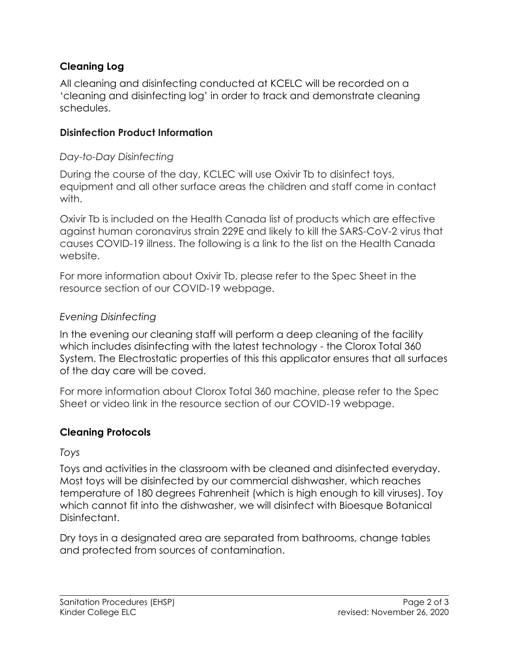# **Cleaning Log**

All cleaning and disinfecting conducted at KCELC will be recorded on a 'cleaning and disinfecting log' in order to track and demonstrate cleaning schedules.

### **Disinfection Product Information**

#### *Day-to-Day Disinfecting*

During the course of the day, KCLEC will use Oxivir Tb to disinfect toys, equipment and all other surface areas the children and staff come in contact with.

Oxivir Tb is included on the Health Canada list of products which are effective against human coronavirus strain 229E and likely to kill the SARS-CoV-2 virus that causes COVID-19 illness. The following is a link to the list on the Health Canada website.

For more information about Oxivir Tb, please refer to the Spec Sheet in the resource section of our COVID-19 webpage.

### *Evening Disinfecting*

In the evening our cleaning staff will perform a deep cleaning of the facility which includes disinfecting with the latest technology - the Clorox Total 360 System. The Electrostatic properties of this this applicator ensures that all surfaces of the day care will be coved.

For more information about Clorox Total 360 machine, please refer to the Spec Sheet or video link in the resource section of our COVID-19 webpage.

### **Cleaning Protocols**

#### *Toys*

Toys and activities in the classroom with be cleaned and disinfected everyday. Most toys will be disinfected by our commercial dishwasher, which reaches temperature of 180 degrees Fahrenheit (which is high enough to kill viruses). Toy which cannot fit into the dishwasher, we will disinfect with Bioesque Botanical Disinfectant.

Dry toys in a designated area are separated from bathrooms, change tables and protected from sources of contamination.